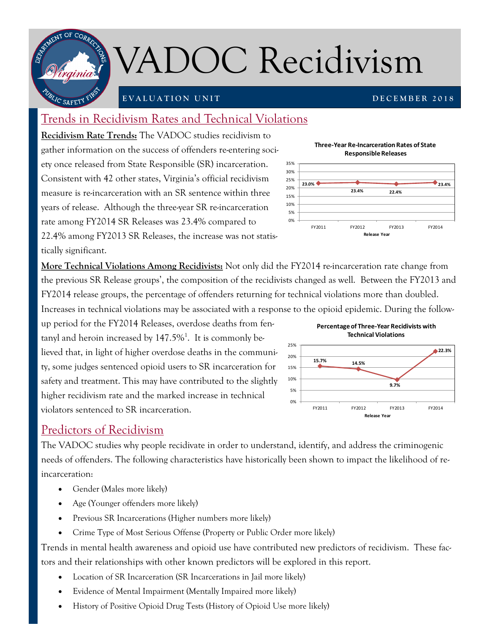

# VADOC Recidivism

25% 30% 35%

### **E V A L U A T I O N U N I T**

**D E C E M B E R 2 0 1 8**

## Trends in Recidivism Rates and Technical Violations

**Recidivism Rate Trends:** The VADOC studies recidivism to gather information on the success of offenders re-entering society once released from State Responsible (SR) incarceration. Consistent with 42 other states, Virginia's official recidivism measure is re-incarceration with an SR sentence within three years of release. Although the three-year SR re-incarceration rate among FY2014 SR Releases was 23.4% compared to 22.4% among FY2013 SR Releases, the increase was not statis-

tically significant.

**More Technical Violations Among Recidivists:** Not only did the FY2014 re-incarceration rate change from the previous SR Release groups', the composition of the recidivists changed as well. Between the FY2013 and FY2014 release groups, the percentage of offenders returning for technical violations more than doubled. Increases in technical violations may be associated with a response to the opioid epidemic. During the follow-

up period for the FY2014 Releases, overdose deaths from fentanyl and heroin increased by  $147.5\%$ <sup>1</sup>. It is commonly believed that, in light of higher overdose deaths in the community, some judges sentenced opioid users to SR incarceration for safety and treatment. This may have contributed to the slightly higher recidivism rate and the marked increase in technical violators sentenced to SR incarceration.

## Predictors of Recidivism

The VADOC studies why people recidivate in order to understand, identify, and address the criminogenic needs of offenders. The following characteristics have historically been shown to impact the likelihood of reincarceration:

- Gender (Males more likely)
- Age (Younger offenders more likely)
- Previous SR Incarcerations (Higher numbers more likely)
- Crime Type of Most Serious Offense (Property or Public Order more likely)

Trends in mental health awareness and opioid use have contributed new predictors of recidivism. These factors and their relationships with other known predictors will be explored in this report.

- Location of SR Incarceration (SR Incarcerations in Jail more likely)
- Evidence of Mental Impairment (Mentally Impaired more likely)
- History of Positive Opioid Drug Tests (History of Opioid Use more likely)



**Three-Year Re-Incarceration Rates of State** 



**Percentage of Three-Year Recidivists with Technical Violations**

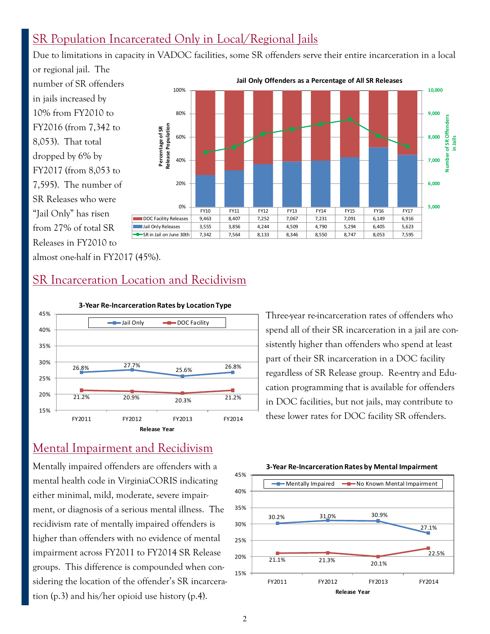## SR Population Incarcerated Only in Local/Regional Jails

Due to limitations in capacity in VADOC facilities, some SR offenders serve their entire incarceration in a local

or regional jail. The number of SR offenders in jails increased by 10% from FY2010 to FY2016 (from 7,342 to 8,053). That total dropped by 6% by FY2017 (from 8,053 to 7,595). The number of SR Releases who were "Jail Only" has risen from 27% of total SR Releases in FY2010 to



almost one-half in FY2017 (45%).

## SR Incarceration Location and Recidivism



## Mental Impairment and Recidivism

Mentally impaired offenders are offenders with a mental health code in VirginiaCORIS indicating either minimal, mild, moderate, severe impairment, or diagnosis of a serious mental illness. The recidivism rate of mentally impaired offenders is higher than offenders with no evidence of mental impairment across FY2011 to FY2014 SR Release groups. This difference is compounded when considering the location of the offender's SR incarceration (p.3) and his/her opioid use history (p.4).

Three-year re-incarceration rates of offenders who spend all of their SR incarceration in a jail are consistently higher than offenders who spend at least part of their SR incarceration in a DOC facility regardless of SR Release group. Re-entry and Education programming that is available for offenders in DOC facilities, but not jails, may contribute to these lower rates for DOC facility SR offenders.



#### **3-Year Re-Incarceration Rates by Mental Impairment**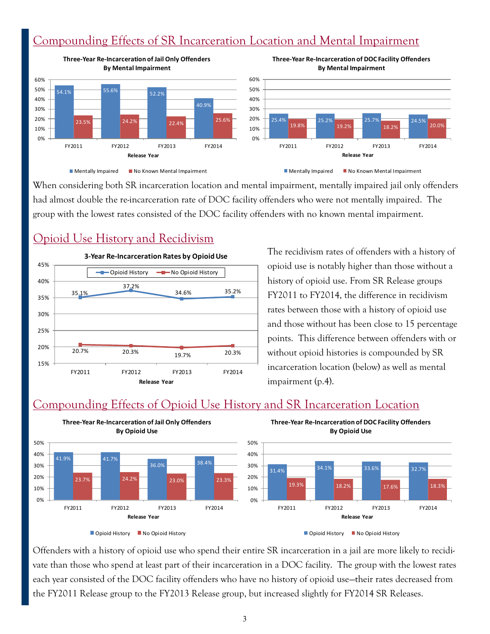## Compounding Effects of SR Incarceration Location and Mental Impairment



When considering both SR incarceration location and mental impairment, mentally impaired jail only offenders had almost double the re-incarceration rate of DOC facility offenders who were not mentally impaired. The group with the lowest rates consisted of the DOC facility offenders with no known mental impairment.

## Opioid Use History and Recidivism



The recidivism rates of offenders with a history of opioid use is notably higher than those without a history of opioid use. From SR Release groups FY2011 to FY2014, the difference in recidivism rates between those with a history of opioid use and those without has been close to 15 percentage points. This difference between offenders with or without opioid histories is compounded by SR incarceration location (below) as well as mental impairment (p.4).

## Compounding Effects of Opioid Use History and SR Incarceration Location



Offenders with a history of opioid use who spend their entire SR incarceration in a jail are more likely to recidivate than those who spend at least part of their incarceration in a DOC facility. The group with the lowest rates each year consisted of the DOC facility offenders who have no history of opioid use—their rates decreased from